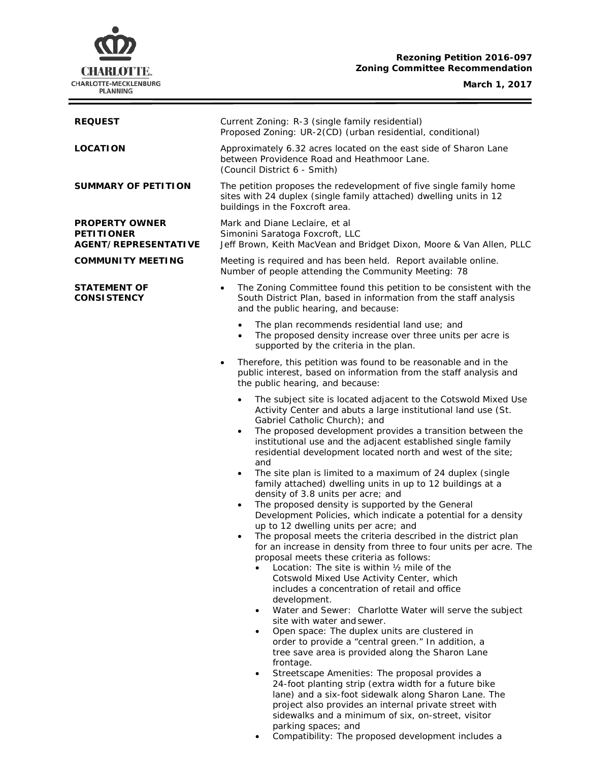# **CHARLOTTE.** CHARLOTTE-MECKLENBURG<br>PLANNING

# **Rezoning Petition 2016-097 Zoning Committee Recommendation**

**March 1, 2017**

Ė

| <b>REQUEST</b>                                                            | Current Zoning: R-3 (single family residential)<br>Proposed Zoning: UR-2(CD) (urban residential, conditional)                                                                                                                                                                                                                                                                                                                                                                                                                                                                                                                                                                                                                                                                                                                                                                                                                                                                                                                                                                                                                                                                                                                                                                                                                                                                                                                                                                                                                                                                                                                                                                                                             |  |  |
|---------------------------------------------------------------------------|---------------------------------------------------------------------------------------------------------------------------------------------------------------------------------------------------------------------------------------------------------------------------------------------------------------------------------------------------------------------------------------------------------------------------------------------------------------------------------------------------------------------------------------------------------------------------------------------------------------------------------------------------------------------------------------------------------------------------------------------------------------------------------------------------------------------------------------------------------------------------------------------------------------------------------------------------------------------------------------------------------------------------------------------------------------------------------------------------------------------------------------------------------------------------------------------------------------------------------------------------------------------------------------------------------------------------------------------------------------------------------------------------------------------------------------------------------------------------------------------------------------------------------------------------------------------------------------------------------------------------------------------------------------------------------------------------------------------------|--|--|
| <b>LOCATION</b>                                                           | Approximately 6.32 acres located on the east side of Sharon Lane<br>between Providence Road and Heathmoor Lane.<br>(Council District 6 - Smith)                                                                                                                                                                                                                                                                                                                                                                                                                                                                                                                                                                                                                                                                                                                                                                                                                                                                                                                                                                                                                                                                                                                                                                                                                                                                                                                                                                                                                                                                                                                                                                           |  |  |
| SUMMARY OF PETITION                                                       | The petition proposes the redevelopment of five single family home<br>sites with 24 duplex (single family attached) dwelling units in 12<br>buildings in the Foxcroft area.                                                                                                                                                                                                                                                                                                                                                                                                                                                                                                                                                                                                                                                                                                                                                                                                                                                                                                                                                                                                                                                                                                                                                                                                                                                                                                                                                                                                                                                                                                                                               |  |  |
| <b>PROPERTY OWNER</b><br><b>PETITIONER</b><br><b>AGENT/REPRESENTATIVE</b> | Mark and Diane Leclaire, et al<br>Simonini Saratoga Foxcroft, LLC<br>Jeff Brown, Keith MacVean and Bridget Dixon, Moore & Van Allen, PLLC                                                                                                                                                                                                                                                                                                                                                                                                                                                                                                                                                                                                                                                                                                                                                                                                                                                                                                                                                                                                                                                                                                                                                                                                                                                                                                                                                                                                                                                                                                                                                                                 |  |  |
| <b>COMMUNITY MEETING</b>                                                  | Meeting is required and has been held. Report available online.<br>Number of people attending the Community Meeting: 78                                                                                                                                                                                                                                                                                                                                                                                                                                                                                                                                                                                                                                                                                                                                                                                                                                                                                                                                                                                                                                                                                                                                                                                                                                                                                                                                                                                                                                                                                                                                                                                                   |  |  |
| <b>STATEMENT OF</b><br><b>CONSISTENCY</b>                                 | The Zoning Committee found this petition to be consistent with the<br>$\bullet$<br>South District Plan, based in information from the staff analysis<br>and the public hearing, and because:                                                                                                                                                                                                                                                                                                                                                                                                                                                                                                                                                                                                                                                                                                                                                                                                                                                                                                                                                                                                                                                                                                                                                                                                                                                                                                                                                                                                                                                                                                                              |  |  |
|                                                                           | The plan recommends residential land use; and<br>$\bullet$<br>The proposed density increase over three units per acre is<br>$\bullet$<br>supported by the criteria in the plan.                                                                                                                                                                                                                                                                                                                                                                                                                                                                                                                                                                                                                                                                                                                                                                                                                                                                                                                                                                                                                                                                                                                                                                                                                                                                                                                                                                                                                                                                                                                                           |  |  |
|                                                                           | Therefore, this petition was found to be reasonable and in the<br>٠<br>public interest, based on information from the staff analysis and<br>the public hearing, and because:                                                                                                                                                                                                                                                                                                                                                                                                                                                                                                                                                                                                                                                                                                                                                                                                                                                                                                                                                                                                                                                                                                                                                                                                                                                                                                                                                                                                                                                                                                                                              |  |  |
|                                                                           | The subject site is located adjacent to the Cotswold Mixed Use<br>$\bullet$<br>Activity Center and abuts a large institutional land use (St.<br>Gabriel Catholic Church); and<br>The proposed development provides a transition between the<br>$\bullet$<br>institutional use and the adjacent established single family<br>residential development located north and west of the site;<br>and<br>The site plan is limited to a maximum of 24 duplex (single<br>$\bullet$<br>family attached) dwelling units in up to 12 buildings at a<br>density of 3.8 units per acre; and<br>The proposed density is supported by the General<br>$\bullet$<br>Development Policies, which indicate a potential for a density<br>up to 12 dwelling units per acre; and<br>The proposal meets the criteria described in the district plan<br>٠<br>for an increase in density from three to four units per acre. The<br>proposal meets these criteria as follows:<br>Location: The site is within 1/2 mile of the<br>Cotswold Mixed Use Activity Center, which<br>includes a concentration of retail and office<br>development.<br>Water and Sewer: Charlotte Water will serve the subject<br>$\bullet$<br>site with water and sewer.<br>Open space: The duplex units are clustered in<br>$\bullet$<br>order to provide a "central green." In addition, a<br>tree save area is provided along the Sharon Lane<br>frontage.<br>Streetscape Amenities: The proposal provides a<br>٠<br>24-foot planting strip (extra width for a future bike<br>lane) and a six-foot sidewalk along Sharon Lane. The<br>project also provides an internal private street with<br>sidewalks and a minimum of six, on-street, visitor<br>parking spaces; and |  |  |

• Compatibility: The proposed development includes a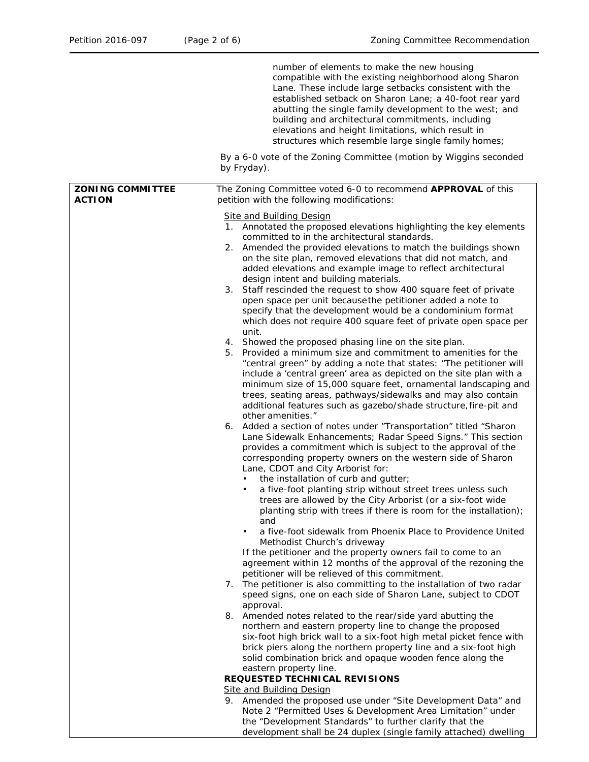|                                          | number of elements to make the new housing<br>compatible with the existing neighborhood along Sharon<br>Lane. These include large setbacks consistent with the<br>established setback on Sharon Lane; a 40-foot rear yard<br>abutting the single family development to the west; and<br>building and architectural commitments, including<br>elevations and height limitations, which result in<br>structures which resemble large single family homes;                                                                                                                                                                                                                                                                                                                                                                                                                                                                                                                                                                                                                                                                                                                                                                                                                                                                                                                                                                                                                                                                                                                                                                                                                                                                                                                                                                                                                                                                                                                                                                                                                                                                                                                                                                                                                                                                                                                                                                                                                                                                                                                                                                                                                                                                                                                               |  |  |
|------------------------------------------|---------------------------------------------------------------------------------------------------------------------------------------------------------------------------------------------------------------------------------------------------------------------------------------------------------------------------------------------------------------------------------------------------------------------------------------------------------------------------------------------------------------------------------------------------------------------------------------------------------------------------------------------------------------------------------------------------------------------------------------------------------------------------------------------------------------------------------------------------------------------------------------------------------------------------------------------------------------------------------------------------------------------------------------------------------------------------------------------------------------------------------------------------------------------------------------------------------------------------------------------------------------------------------------------------------------------------------------------------------------------------------------------------------------------------------------------------------------------------------------------------------------------------------------------------------------------------------------------------------------------------------------------------------------------------------------------------------------------------------------------------------------------------------------------------------------------------------------------------------------------------------------------------------------------------------------------------------------------------------------------------------------------------------------------------------------------------------------------------------------------------------------------------------------------------------------------------------------------------------------------------------------------------------------------------------------------------------------------------------------------------------------------------------------------------------------------------------------------------------------------------------------------------------------------------------------------------------------------------------------------------------------------------------------------------------------------------------------------------------------------------------------------------------------|--|--|
|                                          | By a 6-0 vote of the Zoning Committee (motion by Wiggins seconded<br>by Fryday).                                                                                                                                                                                                                                                                                                                                                                                                                                                                                                                                                                                                                                                                                                                                                                                                                                                                                                                                                                                                                                                                                                                                                                                                                                                                                                                                                                                                                                                                                                                                                                                                                                                                                                                                                                                                                                                                                                                                                                                                                                                                                                                                                                                                                                                                                                                                                                                                                                                                                                                                                                                                                                                                                                      |  |  |
| <b>ZONING COMMITTEE</b><br><b>ACTION</b> | The Zoning Committee voted 6-0 to recommend APPROVAL of this<br>petition with the following modifications:                                                                                                                                                                                                                                                                                                                                                                                                                                                                                                                                                                                                                                                                                                                                                                                                                                                                                                                                                                                                                                                                                                                                                                                                                                                                                                                                                                                                                                                                                                                                                                                                                                                                                                                                                                                                                                                                                                                                                                                                                                                                                                                                                                                                                                                                                                                                                                                                                                                                                                                                                                                                                                                                            |  |  |
|                                          | <b>Site and Building Design</b><br>1. Annotated the proposed elevations highlighting the key elements<br>committed to in the architectural standards.<br>Amended the provided elevations to match the buildings shown<br>2.<br>on the site plan, removed elevations that did not match, and<br>added elevations and example image to reflect architectural<br>design intent and building materials.<br>Staff rescinded the request to show 400 square feet of private<br>3.<br>open space per unit because the petitioner added a note to<br>specify that the development would be a condominium format<br>which does not require 400 square feet of private open space per<br>unit.<br>4. Showed the proposed phasing line on the site plan.<br>Provided a minimum size and commitment to amenities for the<br>5.<br>"central green" by adding a note that states: "The petitioner will<br>include a 'central green' area as depicted on the site plan with a<br>minimum size of 15,000 square feet, ornamental landscaping and<br>trees, seating areas, pathways/sidewalks and may also contain<br>additional features such as gazebo/shade structure, fire-pit and<br>other amenities."<br>Added a section of notes under "Transportation" titled "Sharon<br>6.<br>Lane Sidewalk Enhancements; Radar Speed Signs." This section<br>provides a commitment which is subject to the approval of the<br>corresponding property owners on the western side of Sharon<br>Lane, CDOT and City Arborist for:<br>the installation of curb and gutter;<br>a five-foot planting strip without street trees unless such<br>trees are allowed by the City Arborist (or a six-foot wide<br>planting strip with trees if there is room for the installation);<br>and<br>a five-foot sidewalk from Phoenix Place to Providence United<br>$\bullet$<br>Methodist Church's driveway<br>If the petitioner and the property owners fail to come to an<br>agreement within 12 months of the approval of the rezoning the<br>petitioner will be relieved of this commitment.<br>7. The petitioner is also committing to the installation of two radar<br>speed signs, one on each side of Sharon Lane, subject to CDOT<br>approval.<br>Amended notes related to the rear/side yard abutting the<br>8.<br>northern and eastern property line to change the proposed<br>six-foot high brick wall to a six-foot high metal picket fence with<br>brick piers along the northern property line and a six-foot high<br>solid combination brick and opaque wooden fence along the<br>eastern property line.<br>REQUESTED TECHNICAL REVISIONS<br><b>Site and Building Design</b><br>9. Amended the proposed use under "Site Development Data" and<br>Note 2 "Permitted Uses & Development Area Limitation" under |  |  |
|                                          | the "Development Standards" to further clarify that the                                                                                                                                                                                                                                                                                                                                                                                                                                                                                                                                                                                                                                                                                                                                                                                                                                                                                                                                                                                                                                                                                                                                                                                                                                                                                                                                                                                                                                                                                                                                                                                                                                                                                                                                                                                                                                                                                                                                                                                                                                                                                                                                                                                                                                                                                                                                                                                                                                                                                                                                                                                                                                                                                                                               |  |  |

development shall be 24 duplex (single family attached) dwelling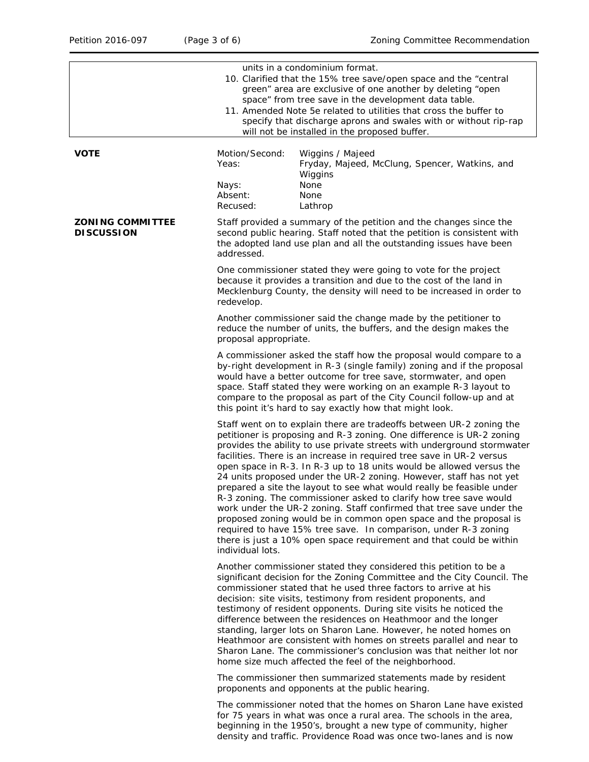|                                              | units in a condominium format.<br>10. Clarified that the 15% tree save/open space and the "central<br>green" area are exclusive of one another by deleting "open<br>space" from tree save in the development data table.<br>11. Amended Note 5e related to utilities that cross the buffer to<br>specify that discharge aprons and swales with or without rip-rap<br>will not be installed in the proposed buffer.                                                                                                                                                                                                                                                                                                                                                                                                                                                                                        |                                                                                                                                                                                                                                                                                                                                                                                                                                                                                                                                                                                                                                                                                                     |  |  |
|----------------------------------------------|-----------------------------------------------------------------------------------------------------------------------------------------------------------------------------------------------------------------------------------------------------------------------------------------------------------------------------------------------------------------------------------------------------------------------------------------------------------------------------------------------------------------------------------------------------------------------------------------------------------------------------------------------------------------------------------------------------------------------------------------------------------------------------------------------------------------------------------------------------------------------------------------------------------|-----------------------------------------------------------------------------------------------------------------------------------------------------------------------------------------------------------------------------------------------------------------------------------------------------------------------------------------------------------------------------------------------------------------------------------------------------------------------------------------------------------------------------------------------------------------------------------------------------------------------------------------------------------------------------------------------------|--|--|
| <b>VOTE</b>                                  | Motion/Second:<br>Yeas:<br>Nays:<br>Absent:<br>Recused:                                                                                                                                                                                                                                                                                                                                                                                                                                                                                                                                                                                                                                                                                                                                                                                                                                                   | Wiggins / Majeed<br>Fryday, Majeed, McClung, Spencer, Watkins, and<br>Wiggins<br>None<br>None<br>Lathrop                                                                                                                                                                                                                                                                                                                                                                                                                                                                                                                                                                                            |  |  |
| <b>ZONING COMMITTEE</b><br><b>DISCUSSION</b> | Staff provided a summary of the petition and the changes since the<br>second public hearing. Staff noted that the petition is consistent with<br>the adopted land use plan and all the outstanding issues have been<br>addressed.                                                                                                                                                                                                                                                                                                                                                                                                                                                                                                                                                                                                                                                                         |                                                                                                                                                                                                                                                                                                                                                                                                                                                                                                                                                                                                                                                                                                     |  |  |
|                                              | One commissioner stated they were going to vote for the project<br>because it provides a transition and due to the cost of the land in<br>Mecklenburg County, the density will need to be increased in order to<br>redevelop.                                                                                                                                                                                                                                                                                                                                                                                                                                                                                                                                                                                                                                                                             |                                                                                                                                                                                                                                                                                                                                                                                                                                                                                                                                                                                                                                                                                                     |  |  |
|                                              | Another commissioner said the change made by the petitioner to<br>reduce the number of units, the buffers, and the design makes the<br>proposal appropriate.                                                                                                                                                                                                                                                                                                                                                                                                                                                                                                                                                                                                                                                                                                                                              |                                                                                                                                                                                                                                                                                                                                                                                                                                                                                                                                                                                                                                                                                                     |  |  |
|                                              | A commissioner asked the staff how the proposal would compare to a<br>by-right development in R-3 (single family) zoning and if the proposal<br>would have a better outcome for tree save, stormwater, and open<br>space. Staff stated they were working on an example R-3 layout to<br>compare to the proposal as part of the City Council follow-up and at<br>this point it's hard to say exactly how that might look.                                                                                                                                                                                                                                                                                                                                                                                                                                                                                  |                                                                                                                                                                                                                                                                                                                                                                                                                                                                                                                                                                                                                                                                                                     |  |  |
|                                              | Staff went on to explain there are tradeoffs between UR-2 zoning the<br>petitioner is proposing and R-3 zoning. One difference is UR-2 zoning<br>provides the ability to use private streets with underground stormwater<br>facilities. There is an increase in required tree save in UR-2 versus<br>open space in R-3. In R-3 up to 18 units would be allowed versus the<br>24 units proposed under the UR-2 zoning. However, staff has not yet<br>prepared a site the layout to see what would really be feasible under<br>R-3 zoning. The commissioner asked to clarify how tree save would<br>work under the UR-2 zoning. Staff confirmed that tree save under the<br>proposed zoning would be in common open space and the proposal is<br>required to have 15% tree save. In comparison, under R-3 zoning<br>there is just a 10% open space requirement and that could be within<br>individual lots. |                                                                                                                                                                                                                                                                                                                                                                                                                                                                                                                                                                                                                                                                                                     |  |  |
|                                              |                                                                                                                                                                                                                                                                                                                                                                                                                                                                                                                                                                                                                                                                                                                                                                                                                                                                                                           | Another commissioner stated they considered this petition to be a<br>significant decision for the Zoning Committee and the City Council. The<br>commissioner stated that he used three factors to arrive at his<br>decision: site visits, testimony from resident proponents, and<br>testimony of resident opponents. During site visits he noticed the<br>difference between the residences on Heathmoor and the longer<br>standing, larger lots on Sharon Lane. However, he noted homes on<br>Heathmoor are consistent with homes on streets parallel and near to<br>Sharon Lane. The commissioner's conclusion was that neither lot nor<br>home size much affected the feel of the neighborhood. |  |  |
|                                              | The commissioner then summarized statements made by resident<br>proponents and opponents at the public hearing.                                                                                                                                                                                                                                                                                                                                                                                                                                                                                                                                                                                                                                                                                                                                                                                           |                                                                                                                                                                                                                                                                                                                                                                                                                                                                                                                                                                                                                                                                                                     |  |  |
|                                              |                                                                                                                                                                                                                                                                                                                                                                                                                                                                                                                                                                                                                                                                                                                                                                                                                                                                                                           | The commissioner noted that the homes on Sharon Lane have existed<br>for 75 years in what was once a rural area. The schools in the area,<br>beginning in the 1950's, brought a new type of community, higher                                                                                                                                                                                                                                                                                                                                                                                                                                                                                       |  |  |

density and traffic. Providence Road was once two-lanes and is now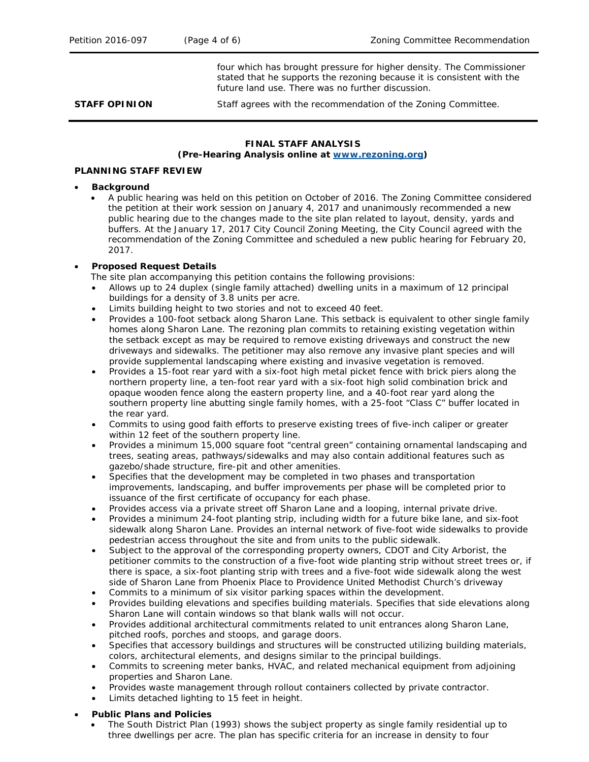four which has brought pressure for higher density. The Commissioner stated that he supports the rezoning because it is consistent with the future land use. There was no further discussion.

**STAFF OPINION** Staff agrees with the recommendation of the Zoning Committee.

#### **FINAL STAFF ANALYSIS (Pre-Hearing Analysis online at [www.rezoning.org\)](http://www.rezoning.org/)**

### **PLANNING STAFF REVIEW**

### • **Background**

• A public hearing was held on this petition on October of 2016. The Zoning Committee considered the petition at their work session on January 4, 2017 and unanimously recommended a new public hearing due to the changes made to the site plan related to layout, density, yards and buffers. At the January 17, 2017 City Council Zoning Meeting, the City Council agreed with the recommendation of the Zoning Committee and scheduled a new public hearing for February 20, 2017.

## • **Proposed Request Details**

The site plan accompanying this petition contains the following provisions:

- Allows up to 24 duplex (single family attached) dwelling units in a maximum of 12 principal buildings for a density of 3.8 units per acre.
- Limits building height to two stories and not to exceed 40 feet.
- Provides a 100-foot setback along Sharon Lane. This setback is equivalent to other single family homes along Sharon Lane. The rezoning plan commits to retaining existing vegetation within the setback except as may be required to remove existing driveways and construct the new driveways and sidewalks. The petitioner may also remove any invasive plant species and will provide supplemental landscaping where existing and invasive vegetation is removed.
- Provides a 15-foot rear yard with a six-foot high metal picket fence with brick piers along the northern property line, a ten-foot rear yard with a six-foot high solid combination brick and opaque wooden fence along the eastern property line, and a 40-foot rear yard along the southern property line abutting single family homes, with a 25-foot "Class C" buffer located in the rear yard.
- Commits to using good faith efforts to preserve existing trees of five-inch caliper or greater within 12 feet of the southern property line.
- Provides a minimum 15,000 square foot "central green" containing ornamental landscaping and trees, seating areas, pathways/sidewalks and may also contain additional features such as gazebo/shade structure, fire-pit and other amenities.
- Specifies that the development may be completed in two phases and transportation improvements, landscaping, and buffer improvements per phase will be completed prior to issuance of the first certificate of occupancy for each phase.
- Provides access via a private street off Sharon Lane and a looping, internal private drive.
- Provides a minimum 24-foot planting strip, including width for a future bike lane, and six-foot sidewalk along Sharon Lane. Provides an internal network of five-foot wide sidewalks to provide pedestrian access throughout the site and from units to the public sidewalk.
- Subject to the approval of the corresponding property owners, CDOT and City Arborist, the petitioner commits to the construction of a five-foot wide planting strip without street trees or, if there is space, a six-foot planting strip with trees and a five-foot wide sidewalk along the west side of Sharon Lane from Phoenix Place to Providence United Methodist Church's driveway
- Commits to a minimum of six visitor parking spaces within the development.
- Provides building elevations and specifies building materials. Specifies that side elevations along Sharon Lane will contain windows so that blank walls will not occur.
- Provides additional architectural commitments related to unit entrances along Sharon Lane, pitched roofs, porches and stoops, and garage doors.
- Specifies that accessory buildings and structures will be constructed utilizing building materials, colors, architectural elements, and designs similar to the principal buildings.
- Commits to screening meter banks, HVAC, and related mechanical equipment from adjoining properties and Sharon Lane.
- Provides waste management through rollout containers collected by private contractor.
- Limits detached lighting to 15 feet in height.

# • **Public Plans and Policies**

• The *South District Plan (*1993*)* shows the subject property as single family residential up to three dwellings per acre. The plan has specific criteria for an increase in density to four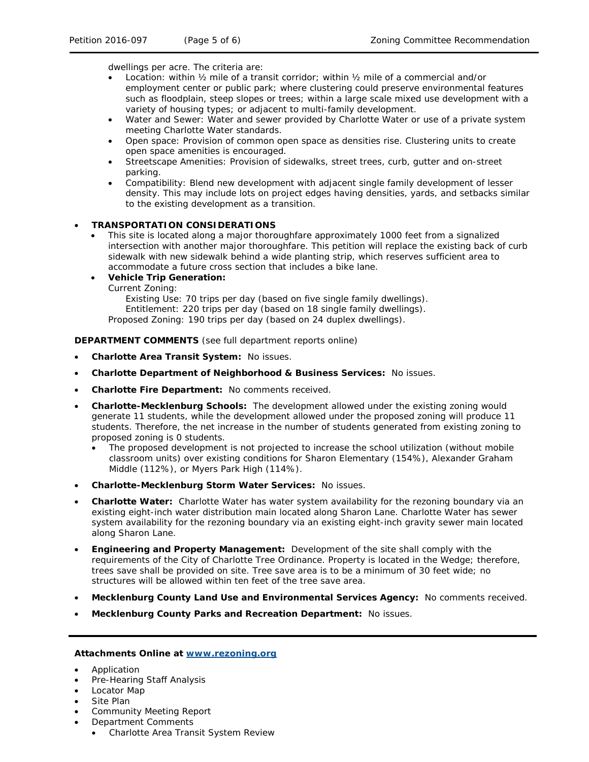dwellings per acre. The criteria are:

- Location: within ½ mile of a transit corridor; within ½ mile of a commercial and/or employment center or public park; where clustering could preserve environmental features such as floodplain, steep slopes or trees; within a large scale mixed use development with a variety of housing types; or adjacent to multi-family development.
- Water and Sewer: Water and sewer provided by Charlotte Water or use of a private system meeting Charlotte Water standards.
- Open space: Provision of common open space as densities rise. Clustering units to create open space amenities is encouraged.
- Streetscape Amenities: Provision of sidewalks, street trees, curb, gutter and on-street parking.
- Compatibility: Blend new development with adjacent single family development of lesser density. This may include lots on project edges having densities, yards, and setbacks similar to the existing development as a transition.

## • **TRANSPORTATION CONSIDERATIONS**

• This site is located along a major thoroughfare approximately 1000 feet from a signalized intersection with another major thoroughfare. This petition will replace the existing back of curb sidewalk with new sidewalk behind a wide planting strip, which reserves sufficient area to accommodate a future cross section that includes a bike lane.

### • **Vehicle Trip Generation:**

Current Zoning:

Existing Use: 70 trips per day (based on five single family dwellings). Entitlement: 220 trips per day (based on 18 single family dwellings). Proposed Zoning: 190 trips per day (based on 24 duplex dwellings).

**DEPARTMENT COMMENTS** (see full department reports online)

- **Charlotte Area Transit System:** No issues.
- **Charlotte Department of Neighborhood & Business Services:** No issues.
- **Charlotte Fire Department:** No comments received.
- **Charlotte-Mecklenburg Schools:** The development allowed under the existing zoning would generate 11 students, while the development allowed under the proposed zoning will produce 11 students. Therefore, the net increase in the number of students generated from existing zoning to proposed zoning is 0 students.
	- The proposed development is not projected to increase the school utilization (without mobile classroom units) over existing conditions for Sharon Elementary (154%), Alexander Graham Middle (112%), or Myers Park High (114%).
- **Charlotte-Mecklenburg Storm Water Services:** No issues.
- **Charlotte Water:** Charlotte Water has water system availability for the rezoning boundary via an existing eight-inch water distribution main located along Sharon Lane. Charlotte Water has sewer system availability for the rezoning boundary via an existing eight-inch gravity sewer main located along Sharon Lane.
- **Engineering and Property Management:** Development of the site shall comply with the requirements of the City of Charlotte Tree Ordinance. Property is located in the Wedge; therefore, trees save shall be provided on site. Tree save area is to be a minimum of 30 feet wide; no structures will be allowed within ten feet of the tree save area.
- **Mecklenburg County Land Use and Environmental Services Agency:** No comments received.
- **Mecklenburg County Parks and Recreation Department:** No issues.

#### **Attachments Online at [www.rezoning.org](http://www.rezoning.org/)**

- Application
- Pre-Hearing Staff Analysis
- Locator Map
- Site Plan
- Community Meeting Report
- Department Comments
	- Charlotte Area Transit System Review